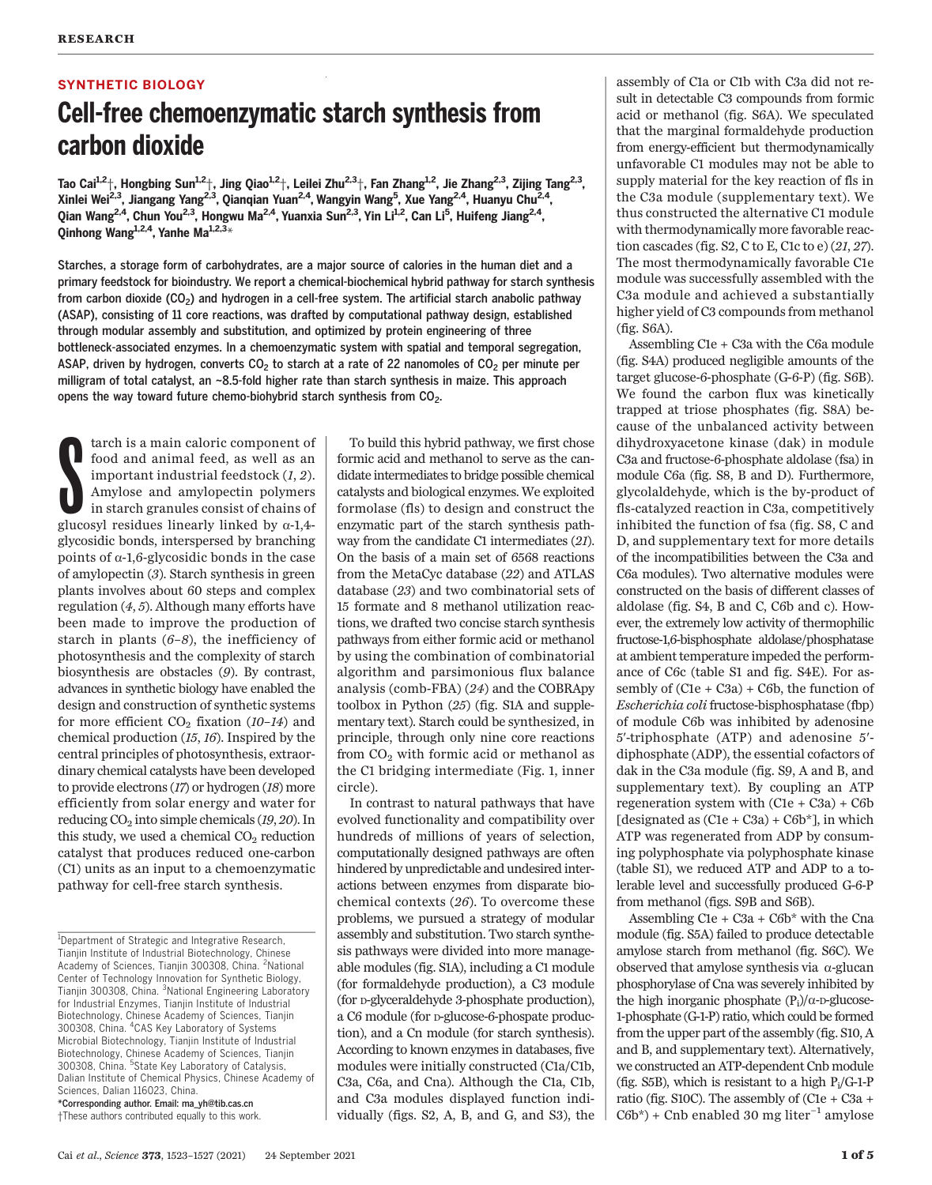### SYNTHETIC BIOLOGY

# Cell-free chemoenzymatic starch synthesis from carbon dioxide

Tao Cai<sup>1,2</sup>†, Hongbing Sun<sup>1,2</sup>†, Jing Qiao<sup>1,2</sup>†, Leilei Zhu<sup>2,3</sup>†, Fan Zhang<sup>1,2</sup>, Jie Zhang<sup>2,3</sup>, Zijing Tang<sup>2,3</sup>, Xinlei Wei<sup>2,3</sup>, Jiangang Yang<sup>2,3</sup>, Qianqian Yuan<sup>2,4</sup>, Wangyin Wang<sup>5</sup>, Xue Yang<sup>2,4</sup>, Huanyu Chu<sup>2,4</sup>, Qian Wang<sup>2,4</sup>, Chun You<sup>2,3</sup>, Hongwu Ma<sup>2,4</sup>, Yuanxia Sun<sup>2,3</sup>, Yin Li<sup>1,2</sup>, Can Li<sup>5</sup>, Huifeng Jiang<sup>2,4</sup>, Qinhong Wang<sup>1,2,4</sup>, Yanhe Ma<sup>1,2,3</sup>\*

Starches, a storage form of carbohydrates, are a major source of calories in the human diet and a primary feedstock for bioindustry. We report a chemical-biochemical hybrid pathway for starch synthesis from carbon dioxide  $(CO_2)$  and hydrogen in a cell-free system. The artificial starch anabolic pathway (ASAP), consisting of 11 core reactions, was drafted by computational pathway design, established through modular assembly and substitution, and optimized by protein engineering of three bottleneck-associated enzymes. In a chemoenzymatic system with spatial and temporal segregation, ASAP, driven by hydrogen, converts  $CO<sub>2</sub>$  to starch at a rate of 22 nanomoles of  $CO<sub>2</sub>$  per minute per milligram of total catalyst, an ~8.5-fold higher rate than starch synthesis in maize. This approach opens the way toward future chemo-biohybrid starch synthesis from CO<sub>2</sub>.

**Example 18** and minimal feed, as well as an important industrial feedstock  $(1, 2)$ .<br>Amylose and amylopectin polymers in starch granules consist of chains of glucosyl residues linearly linked by  $\alpha$ -1,4tarch is a main caloric component of food and animal feed, as well as an important industrial feedstock (1, 2). Amylose and amylopectin polymers in starch granules consist of chains of glycosidic bonds, interspersed by branching points of  $\alpha$ -1,6-glycosidic bonds in the case of amylopectin (3). Starch synthesis in green plants involves about 60 steps and complex regulation (4, 5). Although many efforts have been made to improve the production of starch in plants  $(6-8)$ , the inefficiency of photosynthesis and the complexity of starch biosynthesis are obstacles (9). By contrast, advances in synthetic biology have enabled the design and construction of synthetic systems for more efficient  $CO<sub>2</sub>$  fixation (10–14) and chemical production (15, 16). Inspired by the central principles of photosynthesis, extraordinary chemical catalysts have been developed to provide electrons (17) or hydrogen (18) more efficiently from solar energy and water for reducing  $CO<sub>2</sub>$  into simple chemicals (19, 20). In this study, we used a chemical  $CO<sub>2</sub>$  reduction catalyst that produces reduced one-carbon (C1) units as an input to a chemoenzymatic pathway for cell-free starch synthesis.

\*Corresponding author. Email: ma\_yh@tib.cas.cn †These authors contributed equally to this work.

To build this hybrid pathway, we first chose formic acid and methanol to serve as the candidate intermediates to bridge possible chemical catalysts and biological enzymes. We exploited formolase (fls) to design and construct the enzymatic part of the starch synthesis pathway from the candidate C1 intermediates (21). On the basis of a main set of 6568 reactions from the MetaCyc database (22) and ATLAS database (23) and two combinatorial sets of 15 formate and 8 methanol utilization reactions, we drafted two concise starch synthesis pathways from either formic acid or methanol by using the combination of combinatorial algorithm and parsimonious flux balance analysis (comb-FBA) (24) and the COBRApy toolbox in Python (25) (fig. S1A and supplementary text). Starch could be synthesized, in principle, through only nine core reactions from CO<sub>2</sub> with formic acid or methanol as the C1 bridging intermediate (Fig. 1, inner circle).

In contrast to natural pathways that have evolved functionality and compatibility over hundreds of millions of years of selection, computationally designed pathways are often hindered by unpredictable and undesired interactions between enzymes from disparate biochemical contexts (26). To overcome these problems, we pursued a strategy of modular assembly and substitution. Two starch synthesis pathways were divided into more manageable modules (fig. S1A), including a C1 module (for formaldehyde production), a C3 module (for D-glyceraldehyde 3-phosphate production), a C6 module (for D-glucose-6-phospate production), and a Cn module (for starch synthesis). According to known enzymes in databases, five modules were initially constructed (C1a/C1b, C3a, C6a, and Cna). Although the C1a, C1b, and C3a modules displayed function individually (figs. S2, A, B, and G, and S3), the

assembly of C1a or C1b with C3a did not result in detectable C3 compounds from formic acid or methanol (fig. S6A). We speculated that the marginal formaldehyde production from energy-efficient but thermodynamically unfavorable C1 modules may not be able to supply material for the key reaction of fls in the C3a module (supplementary text). We thus constructed the alternative C1 module with thermodynamically more favorable reaction cascades (fig. S2, C to E, C1c to e) (21, 27). The most thermodynamically favorable C1e module was successfully assembled with the C3a module and achieved a substantially higher yield of C3 compounds from methanol (fig. S6A).

Assembling C1e + C3a with the C6a module (fig. S4A) produced negligible amounts of the target glucose-6-phosphate (G-6-P) (fig. S6B). We found the carbon flux was kinetically trapped at triose phosphates (fig. S8A) because of the unbalanced activity between dihydroxyacetone kinase (dak) in module C3a and fructose-6-phosphate aldolase (fsa) in module C6a (fig. S8, B and D). Furthermore, glycolaldehyde, which is the by-product of fls-catalyzed reaction in C3a, competitively inhibited the function of fsa (fig. S8, C and D, and supplementary text for more details of the incompatibilities between the C3a and C6a modules). Two alternative modules were constructed on the basis of different classes of aldolase (fig. S4, B and C, C6b and c). However, the extremely low activity of thermophilic fructose-1,6-bisphosphate aldolase/phosphatase at ambient temperature impeded the performance of C6c (table S1 and fig. S4E). For assembly of  $(C1e + C3a) + C6b$ , the function of Escherichia coli fructose-bisphosphatase (fbp) of module C6b was inhibited by adenosine 5′-triphosphate (ATP) and adenosine 5′ diphosphate (ADP), the essential cofactors of dak in the C3a module (fig. S9, A and B, and supplementary text). By coupling an ATP regeneration system with  $(C1e + C3a) + C6b$ [designated as  $(C1e + C3a) + C6b^*$ ], in which ATP was regenerated from ADP by consuming polyphosphate via polyphosphate kinase (table S1), we reduced ATP and ADP to a tolerable level and successfully produced G-6-P from methanol (figs. S9B and S6B).

Assembling C1e + C3a + C6b\* with the Cna module (fig. S5A) failed to produce detectable amylose starch from methanol (fig. S6C). We observed that amylose synthesis via  $\alpha$ -glucan phosphorylase of Cna was severely inhibited by the high inorganic phosphate  $(P_i)/\alpha$ -D-glucose-1-phosphate (G-1-P) ratio, which could be formed from the upper part of the assembly (fig. S10, A and B, and supplementary text). Alternatively, we constructed an ATP-dependent Cnb module (fig. S5B), which is resistant to a high  $P_i/G$ -1-P ratio (fig. S10C). The assembly of  $(C1e + C3a +$ C6b\*) + Cnb enabled 30 mg liter−<sup>1</sup> amylose

<sup>&</sup>lt;sup>1</sup>Department of Strategic and Integrative Research, Tianjin Institute of Industrial Biotechnology, Chinese Academy of Sciences, Tianjin 300308, China. <sup>2</sup>National Center of Technology Innovation for Synthetic Biology, Tianjin 300308, China. <sup>3</sup>National Engineering Laboratory for Industrial Enzymes, Tianjin Institute of Industrial Biotechnology, Chinese Academy of Sciences, Tianjin 300308, China. <sup>4</sup> CAS Key Laboratory of Systems Microbial Biotechnology, Tianjin Institute of Industrial Biotechnology, Chinese Academy of Sciences, Tianjin 300308, China. <sup>5</sup>State Key Laboratory of Catalysis, Dalian Institute of Chemical Physics, Chinese Academy of Sciences, Dalian 116023, China.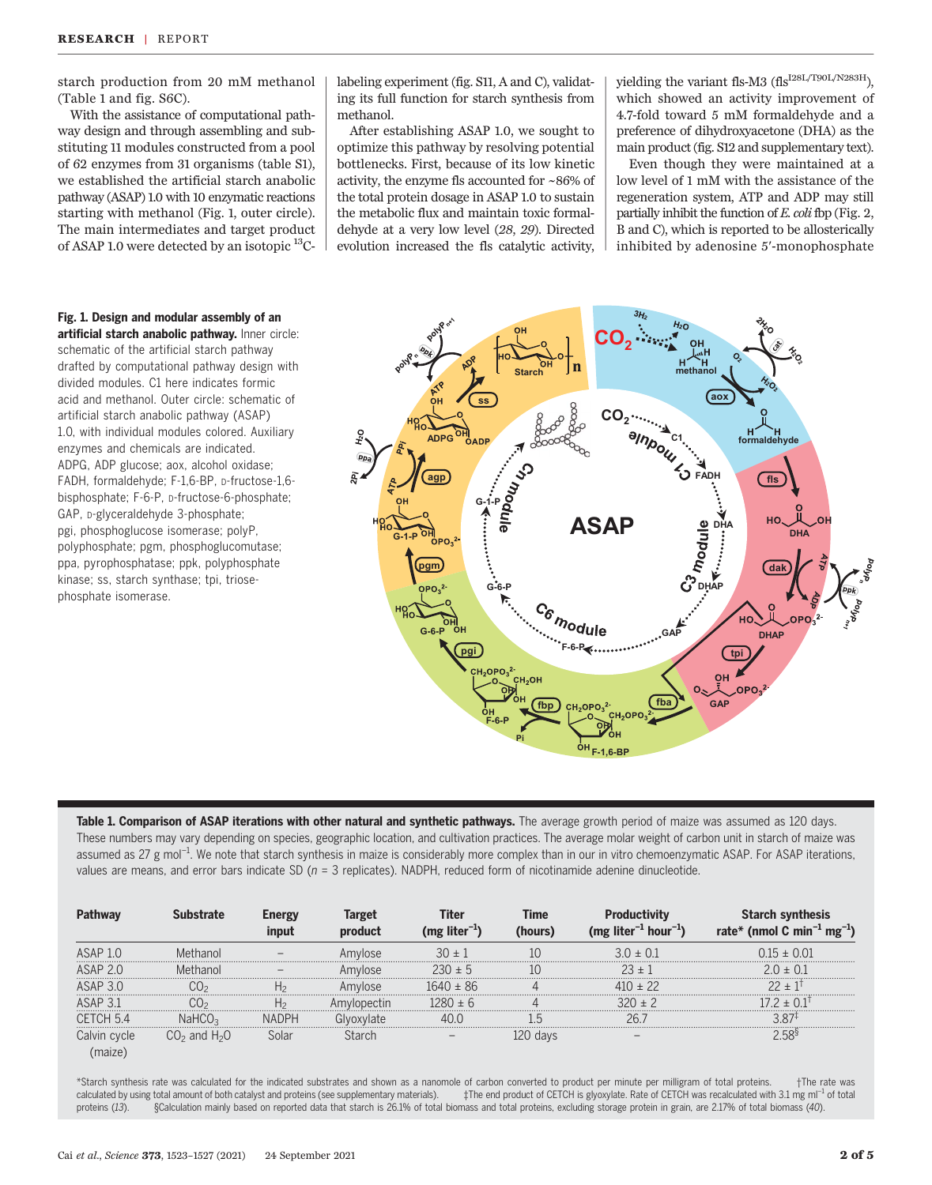starch production from 20 mM methanol (Table 1 and fig. S6C).

With the assistance of computational pathway design and through assembling and substituting 11 modules constructed from a pool of 62 enzymes from 31 organisms (table S1), we established the artificial starch anabolic pathway (ASAP) 1.0 with 10 enzymatic reactions starting with methanol (Fig. 1, outer circle). The main intermediates and target product of ASAP 1.0 were detected by an isotopic 13C-

labeling experiment (fig. S11, A and C), validating its full function for starch synthesis from methanol.

After establishing ASAP 1.0, we sought to optimize this pathway by resolving potential bottlenecks. First, because of its low kinetic activity, the enzyme fls accounted for ~86% of the total protein dosage in ASAP 1.0 to sustain the metabolic flux and maintain toxic formaldehyde at a very low level (28, 29). Directed evolution increased the fls catalytic activity,

yielding the variant fls-M3 (fls $\rm ^{128L/T90L/N283H})$ which showed an activity improvement of 4.7-fold toward 5 mM formaldehyde and a preference of dihydroxyacetone (DHA) as the main product (fig. S12 and supplementary text).

Even though they were maintained at a low level of 1 mM with the assistance of the regeneration system, ATP and ADP may still partially inhibit the function of  $E$ , coli fbp (Fig. 2, B and C), which is reported to be allosterically inhibited by adenosine 5′-monophosphate



Table 1. Comparison of ASAP iterations with other natural and synthetic pathways. The average growth period of maize was assumed as 120 days. These numbers may vary depending on species, geographic location, and cultivation practices. The average molar weight of carbon unit in starch of maize was assumed as 27 g mol<sup>-1</sup>. We note that starch synthesis in maize is considerably more complex than in our in vitro chemoenzymatic ASAP. For ASAP iterations, values are means, and error bars indicate SD ( $n = 3$  replicates). NADPH, reduced form of nicotinamide adenine dinucleotide.

| Pathway               | ıstrate         | <b>Lnergy</b><br><b>Input</b> | larget<br>product      | Titer<br>liter | Time<br>(hours) | Productivity<br>(mg | štarch synthesis<br>(nmol C min<br>rate* |
|-----------------------|-----------------|-------------------------------|------------------------|----------------|-----------------|---------------------|------------------------------------------|
| ASAP 1.0              |                 |                               | Amylose                | + በዩ           |                 | $30 + 01$           | $0.15 \pm 0.01$                          |
| $ASAP$ 2 0            |                 |                               | Amylose                | $+ h$          |                 |                     | $20 + 01$                                |
| ASAP30                |                 |                               | Amylose                | $1640 \pm 86$  |                 | $410 + 22$          |                                          |
| 1 S 4 S 4             |                 |                               | lopectin<br><b>Amy</b> | $+6$           |                 |                     | $+$ 01 $\overline{ }$                    |
| TCH 54                |                 | <b>NADPH</b>                  | xvlate                 |                |                 |                     |                                          |
| Calvin cycle<br>maize | $CO2$ and $H2O$ | Solar                         | Starch                 |                | 120 days        |                     |                                          |

\*Starch synthesis rate was calculated for the indicated substrates and shown as a nanomole of carbon converted to product per minute per milligram of total proteins. †The rate was calculated by using total amount of both c ‡The end product of CETCH is glyoxylate. Rate of CETCH was recalculated with 3.1 mg ml<sup>−1</sup> of total proteins (13). §Calculation mainly based on reported data that starch is 26.1% of total biomass and total proteins, excluding storage protein in grain, are 2.17% of total biomass (40).

 $\binom{n \times n}{k}$ 

## Fig. 1. Design and modular assembly of an

artificial starch anabolic pathway. Inner circle: schematic of the artificial starch pathway drafted by computational pathway design with divided modules. C1 here indicates formic acid and methanol. Outer circle: schematic of artificial starch anabolic pathway (ASAP) 1.0, with individual modules colored. Auxiliary enzymes and chemicals are indicated. ADPG, ADP glucose; aox, alcohol oxidase; FADH, formaldehyde; F-1,6-BP, D-fructose-1,6 bisphosphate; F-6-P, D-fructose-6-phosphate; GAP, D-glyceraldehyde 3-phosphate; pgi, phosphoglucose isomerase; polyP, polyphosphate; pgm, phosphoglucomutase; ppa, pyrophosphatase; ppk, polyphosphate kinase; ss, starch synthase; tpi, triosephosphate isomerase.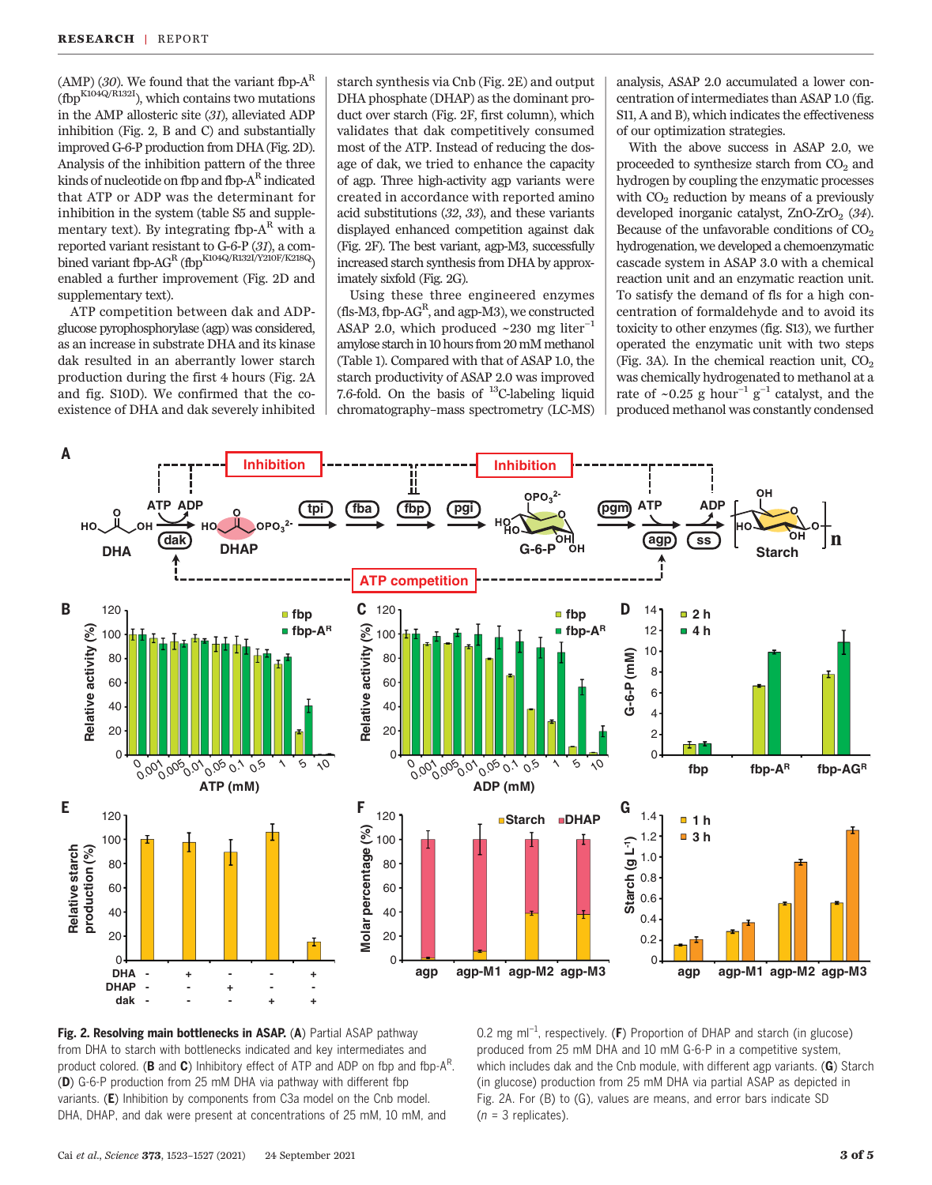(AMP) (30). We found that the variant fbp- $A^R$  $(fbp^{K104Q/R132I})$ , which contains two mutations in the AMP allosteric site (31), alleviated ADP inhibition (Fig. 2, B and C) and substantially improved G-6-P production from DHA (Fig. 2D). Analysis of the inhibition pattern of the three kinds of nucleotide on fbp and fbp- $A<sup>R</sup>$  indicated that ATP or ADP was the determinant for inhibition in the system (table S5 and supplementary text). By integrating fbp- $A^R$  with a reported variant resistant to G-6-P (31), a combined variant fbp-AGR (fbpK104Q/R132I/Y210F/K218Q) enabled a further improvement (Fig. 2D and supplementary text).

ATP competition between dak and ADPglucose pyrophosphorylase (agp) was considered, as an increase in substrate DHA and its kinase dak resulted in an aberrantly lower starch production during the first 4 hours (Fig. 2A and fig. S10D). We confirmed that the coexistence of DHA and dak severely inhibited

starch synthesis via Cnb (Fig. 2E) and output DHA phosphate (DHAP) as the dominant product over starch (Fig. 2F, first column), which validates that dak competitively consumed most of the ATP. Instead of reducing the dosage of dak, we tried to enhance the capacity of agp. Three high-activity agp variants were created in accordance with reported amino acid substitutions (32, 33), and these variants displayed enhanced competition against dak (Fig. 2F). The best variant, agp-M3, successfully increased starch synthesis from DHA by approximately sixfold (Fig. 2G).

Using these three engineered enzymes  $(fls-M3, fbp-AG<sup>R</sup>, and agp-M3), we constructed$ ASAP 2.0, which produced ~230 mg liter<sup>-1</sup> amylose starch in 10 hours from 20 mM methanol (Table 1). Compared with that of ASAP 1.0, the starch productivity of ASAP 2.0 was improved 7.6-fold. On the basis of 13C-labeling liquid chromatography–mass spectrometry (LC-MS)

analysis, ASAP 2.0 accumulated a lower concentration of intermediates than ASAP 1.0 (fig. S11, A and B), which indicates the effectiveness of our optimization strategies.

With the above success in ASAP 2.0, we proceeded to synthesize starch from  $CO<sub>2</sub>$  and hydrogen by coupling the enzymatic processes with  $CO<sub>2</sub>$  reduction by means of a previously developed inorganic catalyst,  $ZnO-ZrO<sub>2</sub>$  (34). Because of the unfavorable conditions of  $CO<sub>2</sub>$ hydrogenation, we developed a chemoenzymatic cascade system in ASAP 3.0 with a chemical reaction unit and an enzymatic reaction unit. To satisfy the demand of fls for a high concentration of formaldehyde and to avoid its toxicity to other enzymes (fig. S13), we further operated the enzymatic unit with two steps (Fig. 3A). In the chemical reaction unit,  $CO<sub>2</sub>$ was chemically hydrogenated to methanol at a rate of ~0.25 g hour<sup>-1</sup> g<sup>-1</sup> catalyst, and the produced methanol was constantly condensed



Fig. 2. Resolving main bottlenecks in ASAP. (A) Partial ASAP pathway from DHA to starch with bottlenecks indicated and key intermediates and product colored. (**B** and **C**) Inhibitory effect of ATP and ADP on fbp and fbp-A<sup>R</sup>. (D) G-6-P production from 25 mM DHA via pathway with different fbp variants. (E) Inhibition by components from C3a model on the Cnb model. DHA, DHAP, and dak were present at concentrations of 25 mM, 10 mM, and

0.2 mg ml<sup>-1</sup>, respectively. (F) Proportion of DHAP and starch (in glucose) produced from 25 mM DHA and 10 mM G-6-P in a competitive system, which includes dak and the Cnb module, with different agp variants. (G) Starch (in glucose) production from 25 mM DHA via partial ASAP as depicted in Fig. 2A. For (B) to (G), values are means, and error bars indicate SD  $(n = 3$  replicates).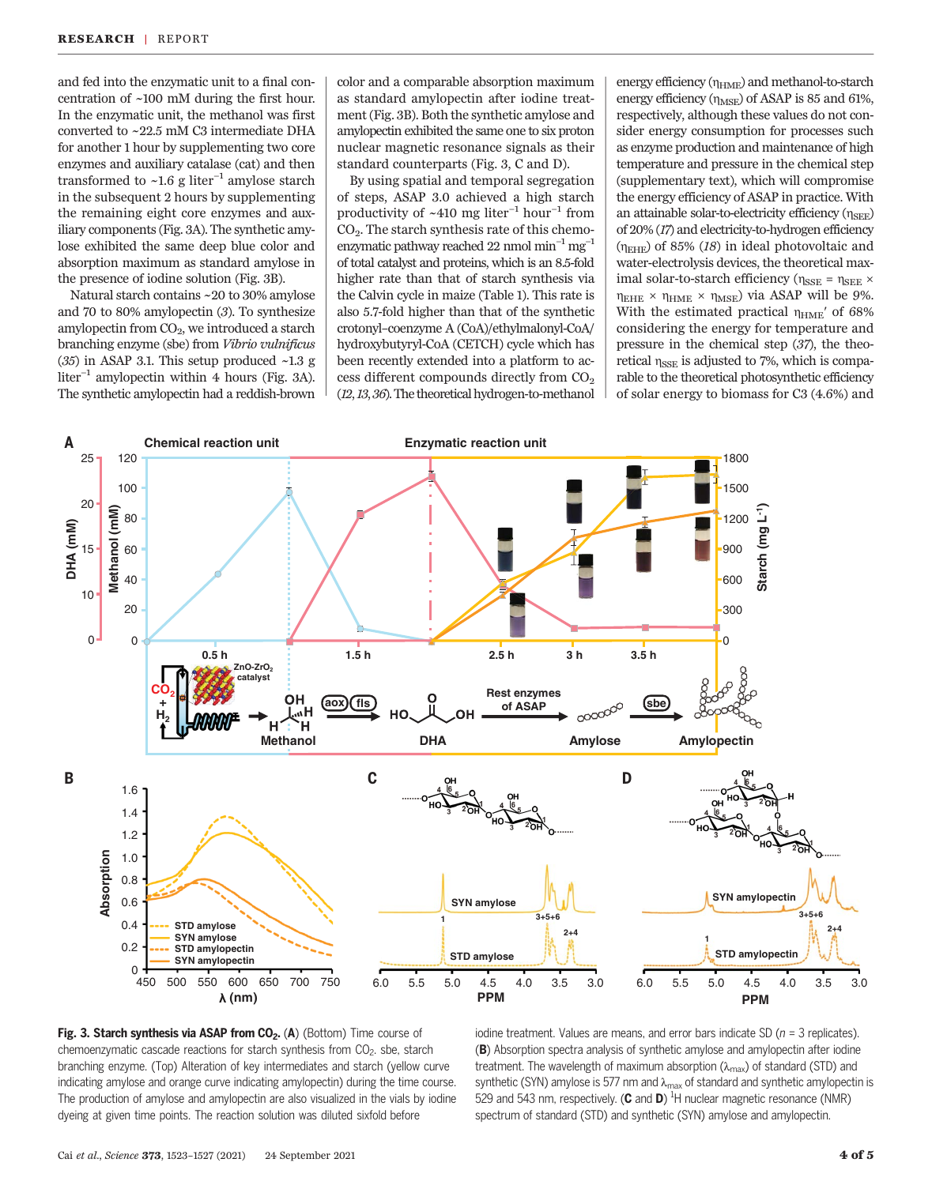and fed into the enzymatic unit to a final concentration of ~100 mM during the first hour. In the enzymatic unit, the methanol was first converted to ~22.5 mM C3 intermediate DHA for another 1 hour by supplementing two core enzymes and auxiliary catalase (cat) and then transformed to ~1.6 g liter<sup>-1</sup> amylose starch in the subsequent 2 hours by supplementing the remaining eight core enzymes and auxiliary components (Fig. 3A). The synthetic amylose exhibited the same deep blue color and absorption maximum as standard amylose in the presence of iodine solution (Fig. 3B).

Natural starch contains ~20 to 30% amylose and 70 to 80% amylopectin (3). To synthesize amylopectin from  $CO<sub>2</sub>$ , we introduced a starch branching enzyme (sbe) from Vibrio vulnificus  $(35)$  in ASAP 3.1. This setup produced ~1.3 g liter<sup> $-1$ </sup> amylopectin within 4 hours (Fig. 3A). The synthetic amylopectin had a reddish-brown

color and a comparable absorption maximum as standard amylopectin after iodine treatment (Fig. 3B). Both the synthetic amylose and amylopectin exhibited the same one to six proton nuclear magnetic resonance signals as their standard counterparts (Fig. 3, C and D).

By using spatial and temporal segregation of steps, ASAP 3.0 achieved a high starch productivity of ~410 mg liter<sup>-1</sup> hour<sup>-1</sup> from  $CO<sub>2</sub>$ . The starch synthesis rate of this chemoenzymatic pathway reached 22 nmol min−<sup>1</sup> mg−<sup>1</sup> of total catalyst and proteins, which is an 8.5-fold higher rate than that of starch synthesis via the Calvin cycle in maize (Table 1). This rate is also 5.7-fold higher than that of the synthetic crotonyl–coenzyme A (CoA)/ethylmalonyl-CoA/ hydroxybutyryl-CoA (CETCH) cycle which has been recently extended into a platform to access different compounds directly from  $CO<sub>2</sub>$ (12,13, 36). The theoretical hydrogen-to-methanol

energy efficiency  $(\eta_{HME})$  and methanol-to-starch energy efficiency  $(\eta_{MSE})$  of ASAP is 85 and 61%, respectively, although these values do not consider energy consumption for processes such as enzyme production and maintenance of high temperature and pressure in the chemical step (supplementary text), which will compromise the energy efficiency of ASAP in practice. With an attainable solar-to-electricity efficiency  $(\eta_{\text{SEE}})$ of 20% (17) and electricity-to-hydrogen efficiency  $(n_{\text{EHE}})$  of 85% (18) in ideal photovoltaic and water-electrolysis devices, the theoretical maximal solar-to-starch efficiency ( $\eta_{\rm SSE}$  =  $\eta_{\rm SEE}$  ×  $\eta_{\text{EHE}} \times \eta_{\text{HME}} \times \eta_{\text{MSE}}$  via ASAP will be 9%. With the estimated practical  $\eta_{HME}$ ' of 68% considering the energy for temperature and pressure in the chemical step (37), the theoretical  $\eta_{\text{SSE}}$  is adjusted to 7%, which is comparable to the theoretical photosynthetic efficiency of solar energy to biomass for C3 (4.6%) and



Fig. 3. Starch synthesis via ASAP from CO<sub>2</sub>. (A) (Bottom) Time course of chemoenzymatic cascade reactions for starch synthesis from  $CO<sub>2</sub>$ . sbe, starch branching enzyme. (Top) Alteration of key intermediates and starch (yellow curve indicating amylose and orange curve indicating amylopectin) during the time course. The production of amylose and amylopectin are also visualized in the vials by iodine dyeing at given time points. The reaction solution was diluted sixfold before

iodine treatment. Values are means, and error bars indicate SD ( $n = 3$  replicates). (B) Absorption spectra analysis of synthetic amylose and amylopectin after iodine treatment. The wavelength of maximum absorption  $(\lambda_{\text{max}})$  of standard (STD) and synthetic (SYN) amylose is 577 nm and  $\lambda_{\text{max}}$  of standard and synthetic amylopectin is 529 and 543 nm, respectively. (C and D)  $^{1}$ H nuclear magnetic resonance (NMR) spectrum of standard (STD) and synthetic (SYN) amylose and amylopectin.